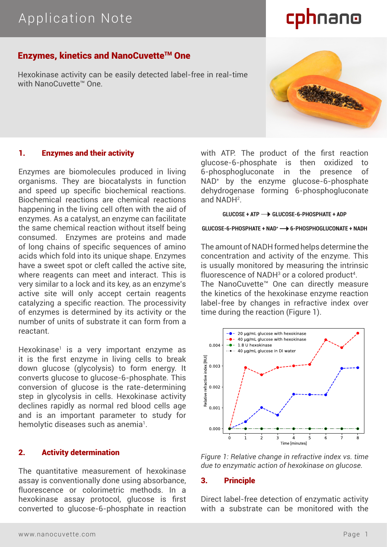# cphnano

THE

## **Enzymes, kinetics and NanoCuvette™ One**

Hexokinase activity can be easily detected label-free in real-time with NanoCuvette™ One

## 1. Enzymes and their activity

Enzymes are biomolecules produced in living organisms. They are biocatalysts in function and speed up specific biochemical reactions. Biochemical reactions are chemical reactions happening in the living cell often with the aid of enzymes. As a catalyst, an enzyme can facilitate the same chemical reaction without itself being consumed. Enzymes are proteins and made of long chains of specific sequences of amino acids which fold into its unique shape. Enzymes have a sweet spot or cleft called the active site, where reagents can meet and interact. This is very similar to a lock and its key, as an enzyme's active site will only accept certain reagents catalyzing a specific reaction. The processivity of enzymes is determined by its activity or the number of units of substrate it can form from a reactant.

Hexokinase1 is a very important enzyme as it is the first enzyme in living cells to break down glucose (glycolysis) to form energy. It converts glucose to glucose-6-phosphate. This conversion of glucose is the rate-determining step in glycolysis in cells. Hexokinase activity declines rapidly as normal red blood cells age and is an important parameter to study for hemolytic diseases such as anemia $^{\rm l}$ .

### 2. Activity determination

The quantitative measurement of hexokinase assay is conventionally done using absorbance, fluorescence or colorimetric methods. In a hexokinase assay protocol, glucose is first converted to glucose-6-phosphate in reaction with ATP. The product of the first reaction glucose-6-phosphate is then oxidized 6-phosphogluconate in the presence of NAD+ by the enzyme glucose-6-phosphate dehydrogenase forming 6-phosphogluconate and NADH2 .

#### **GLUCOSE + ATP GLUCOSE-6-PHOSPHATE + ADP**

#### **GLUCOSE-6-PHOSPHATE + NAD+ 6-PHOSPHOGLUCONATE + NADH**

The amount of NADH formed helps determine the concentration and activity of the enzyme. This is usually monitored by measuring the intrinsic fluorescence of NADH $3$  or a colored product<sup>4</sup>.

The NanoCuvette™ One can directly measure the kinetics of the hexokinase enzyme reaction label-free by changes in refractive index over time during the reaction (Figure 1).





#### 3. Principle

Direct label-free detection of enzymatic activity with a substrate can be monitored with the